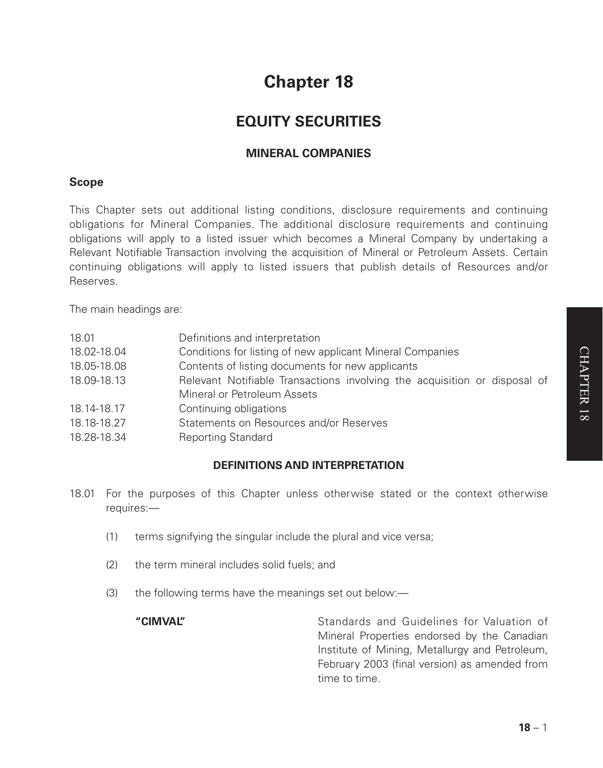# **Chapter 18**

# **EQUITY SECURITIES**

# **MINERAL COMPANIES**

# **Scope**

This Chapter sets out additional listing conditions, disclosure requirements and continuing obligations for Mineral Companies. The additional disclosure requirements and continuing obligations will apply to a listed issuer which becomes a Mineral Company by undertaking a Relevant Notifiable Transaction involving the acquisition of Mineral or Petroleum Assets. Certain continuing obligations will apply to listed issuers that publish details of Resources and/or Reserves.

The main headings are:

| Definitions and interpretation                                            |
|---------------------------------------------------------------------------|
| Conditions for listing of new applicant Mineral Companies                 |
| Contents of listing documents for new applicants                          |
| Relevant Notifiable Transactions involving the acquisition or disposal of |
| Mineral or Petroleum Assets                                               |
| Continuing obligations                                                    |
| Statements on Resources and/or Reserves                                   |
| <b>Reporting Standard</b>                                                 |
|                                                                           |

# **DEFINITIONS AND INTERPRETATION**

- 18.01 For the purposes of this Chapter unless otherwise stated or the context otherwise requires:—
	- (1) terms signifying the singular include the plural and vice versa;
	- (2) the term mineral includes solid fuels; and
	- (3) the following terms have the meanings set out below:—

**"CIMVAL"** Standards and Guidelines for Valuation of Mineral Properties endorsed by the Canadian Institute of Mining, Metallurgy and Petroleum, February 2003 (final version) as amended from time to time.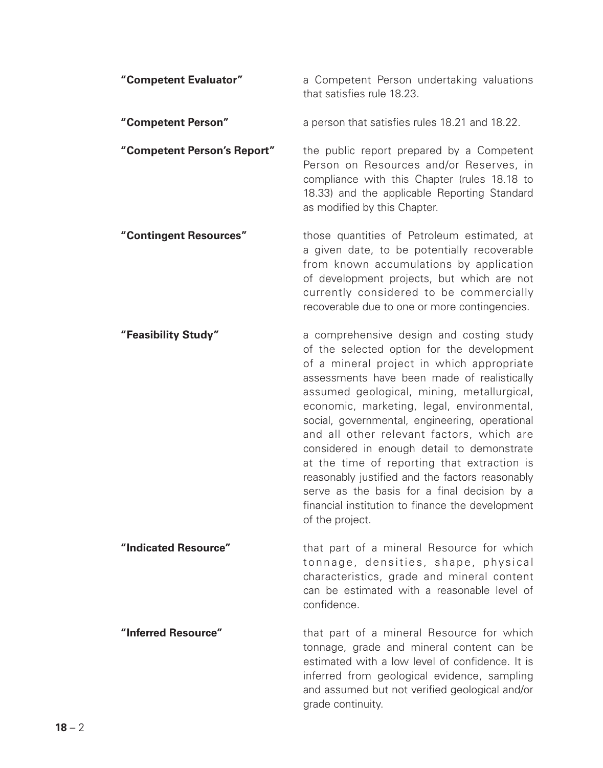| "Competent Evaluator"       | a Competent Person undertaking valuations<br>that satisfies rule 18.23.                                                                                                                                                                                                                                                                                                                                                                                                                                                                                                                                                                              |
|-----------------------------|------------------------------------------------------------------------------------------------------------------------------------------------------------------------------------------------------------------------------------------------------------------------------------------------------------------------------------------------------------------------------------------------------------------------------------------------------------------------------------------------------------------------------------------------------------------------------------------------------------------------------------------------------|
| "Competent Person"          | a person that satisfies rules 18.21 and 18.22.                                                                                                                                                                                                                                                                                                                                                                                                                                                                                                                                                                                                       |
| "Competent Person's Report" | the public report prepared by a Competent<br>Person on Resources and/or Reserves, in<br>compliance with this Chapter (rules 18.18 to<br>18.33) and the applicable Reporting Standard<br>as modified by this Chapter.                                                                                                                                                                                                                                                                                                                                                                                                                                 |
| "Contingent Resources"      | those quantities of Petroleum estimated, at<br>a given date, to be potentially recoverable<br>from known accumulations by application<br>of development projects, but which are not<br>currently considered to be commercially<br>recoverable due to one or more contingencies.                                                                                                                                                                                                                                                                                                                                                                      |
| "Feasibility Study"         | a comprehensive design and costing study<br>of the selected option for the development<br>of a mineral project in which appropriate<br>assessments have been made of realistically<br>assumed geological, mining, metallurgical,<br>economic, marketing, legal, environmental,<br>social, governmental, engineering, operational<br>and all other relevant factors, which are<br>considered in enough detail to demonstrate<br>at the time of reporting that extraction is<br>reasonably justified and the factors reasonably<br>serve as the basis for a final decision by a<br>financial institution to finance the development<br>of the project. |
| "Indicated Resource"        | that part of a mineral Resource for which<br>tonnage, densities, shape, physical<br>characteristics, grade and mineral content<br>can be estimated with a reasonable level of<br>confidence.                                                                                                                                                                                                                                                                                                                                                                                                                                                         |
| "Inferred Resource"         | that part of a mineral Resource for which<br>tonnage, grade and mineral content can be<br>estimated with a low level of confidence. It is<br>inferred from geological evidence, sampling<br>and assumed but not verified geological and/or<br>grade continuity.                                                                                                                                                                                                                                                                                                                                                                                      |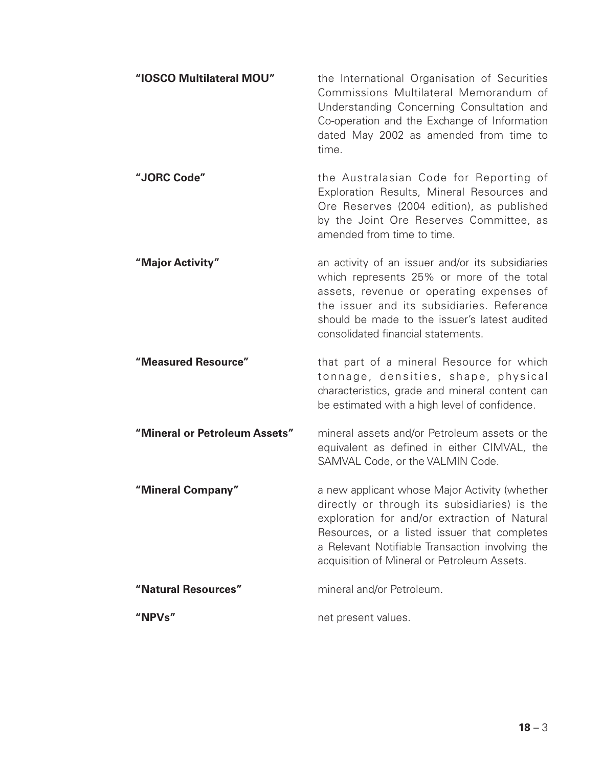| "IOSCO Multilateral MOU"      | the International Organisation of Securities<br>Commissions Multilateral Memorandum of<br>Understanding Concerning Consultation and<br>Co-operation and the Exchange of Information<br>dated May 2002 as amended from time to<br>time.                                                          |
|-------------------------------|-------------------------------------------------------------------------------------------------------------------------------------------------------------------------------------------------------------------------------------------------------------------------------------------------|
| "JORC Code"                   | the Australasian Code for Reporting of<br>Exploration Results, Mineral Resources and<br>Ore Reserves (2004 edition), as published<br>by the Joint Ore Reserves Committee, as<br>amended from time to time.                                                                                      |
| "Major Activity"              | an activity of an issuer and/or its subsidiaries<br>which represents 25% or more of the total<br>assets, revenue or operating expenses of<br>the issuer and its subsidiaries. Reference<br>should be made to the issuer's latest audited<br>consolidated financial statements.                  |
| "Measured Resource"           | that part of a mineral Resource for which<br>tonnage, densities, shape, physical<br>characteristics, grade and mineral content can<br>be estimated with a high level of confidence.                                                                                                             |
| "Mineral or Petroleum Assets" | mineral assets and/or Petroleum assets or the<br>equivalent as defined in either CIMVAL, the<br>SAMVAL Code, or the VALMIN Code.                                                                                                                                                                |
| "Mineral Company"             | a new applicant whose Major Activity (whether<br>directly or through its subsidiaries) is the<br>exploration for and/or extraction of Natural<br>Resources, or a listed issuer that completes<br>a Relevant Notifiable Transaction involving the<br>acquisition of Mineral or Petroleum Assets. |
| "Natural Resources"           | mineral and/or Petroleum.                                                                                                                                                                                                                                                                       |
| "NPVs"                        | net present values.                                                                                                                                                                                                                                                                             |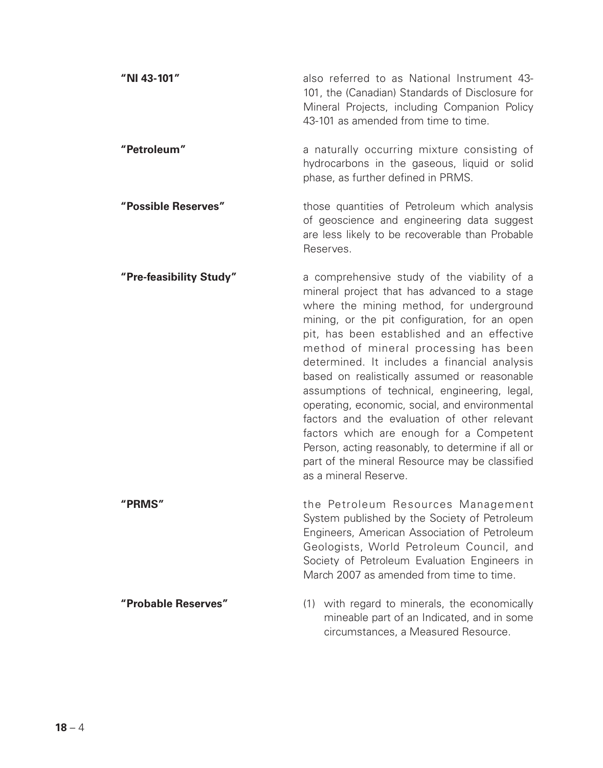| "NI 43-101"             | also referred to as National Instrument 43-<br>101, the (Canadian) Standards of Disclosure for<br>Mineral Projects, including Companion Policy<br>43-101 as amended from time to time.                                                                                                                                                                                                                                                                                                                                                                                                                                                                                                                         |
|-------------------------|----------------------------------------------------------------------------------------------------------------------------------------------------------------------------------------------------------------------------------------------------------------------------------------------------------------------------------------------------------------------------------------------------------------------------------------------------------------------------------------------------------------------------------------------------------------------------------------------------------------------------------------------------------------------------------------------------------------|
| "Petroleum"             | a naturally occurring mixture consisting of<br>hydrocarbons in the gaseous, liquid or solid<br>phase, as further defined in PRMS.                                                                                                                                                                                                                                                                                                                                                                                                                                                                                                                                                                              |
| "Possible Reserves"     | those quantities of Petroleum which analysis<br>of geoscience and engineering data suggest<br>are less likely to be recoverable than Probable<br>Reserves.                                                                                                                                                                                                                                                                                                                                                                                                                                                                                                                                                     |
| "Pre-feasibility Study" | a comprehensive study of the viability of a<br>mineral project that has advanced to a stage<br>where the mining method, for underground<br>mining, or the pit configuration, for an open<br>pit, has been established and an effective<br>method of mineral processing has been<br>determined. It includes a financial analysis<br>based on realistically assumed or reasonable<br>assumptions of technical, engineering, legal,<br>operating, economic, social, and environmental<br>factors and the evaluation of other relevant<br>factors which are enough for a Competent<br>Person, acting reasonably, to determine if all or<br>part of the mineral Resource may be classified<br>as a mineral Reserve. |
| "PRMS"                  | the Petroleum Resources Management<br>System published by the Society of Petroleum<br>Engineers, American Association of Petroleum<br>Geologists, World Petroleum Council, and<br>Society of Petroleum Evaluation Engineers in<br>March 2007 as amended from time to time.                                                                                                                                                                                                                                                                                                                                                                                                                                     |
| "Probable Reserves"     | (1) with regard to minerals, the economically<br>mineable part of an Indicated, and in some<br>circumstances, a Measured Resource.                                                                                                                                                                                                                                                                                                                                                                                                                                                                                                                                                                             |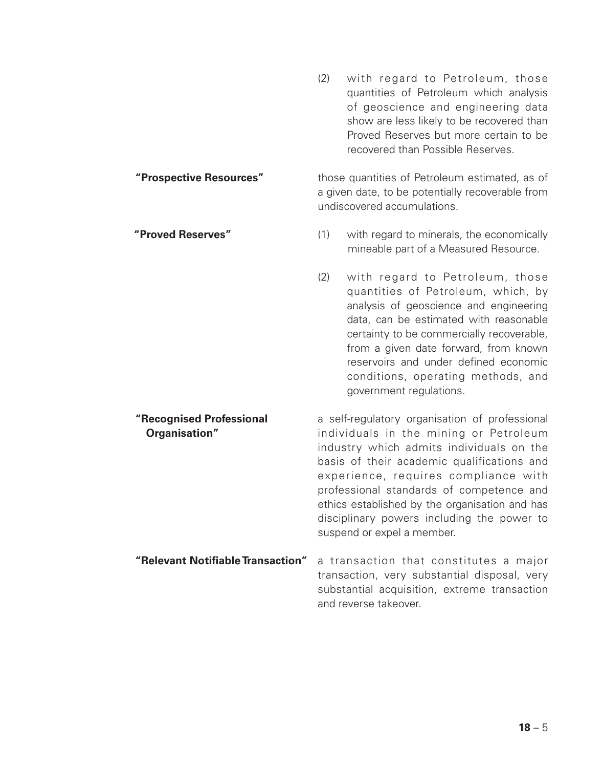(2) with regard to Petroleum, those quantities of Petroleum which analysis of geoscience and engineering data show are less likely to be recovered than Proved Reserves but more certain to be recovered than Possible Reserves. **"Prospective Resources"** those quantities of Petroleum estimated, as of a given date, to be potentially recoverable from undiscovered accumulations. **"Proved Reserves"** (1) with regard to minerals, the economically mineable part of a Measured Resource. (2) with regard to Petroleum, those quantities of Petroleum, which, by analysis of geoscience and engineering data, can be estimated with reasonable certainty to be commercially recoverable, from a given date forward, from known reservoirs and under defined economic conditions, operating methods, and government regulations. **"Recognised Professional** a self-regulatory organisation of professional **Organisation"** individuals in the mining or Petroleum industry which admits individuals on the basis of their academic qualifications and experience, requires compliance with professional standards of competence and ethics established by the organisation and has disciplinary powers including the power to suspend or expel a member. **"Relevant Notifiable Transaction"** a transaction that constitutes a major transaction, very substantial disposal, very substantial acquisition, extreme transaction and reverse takeover.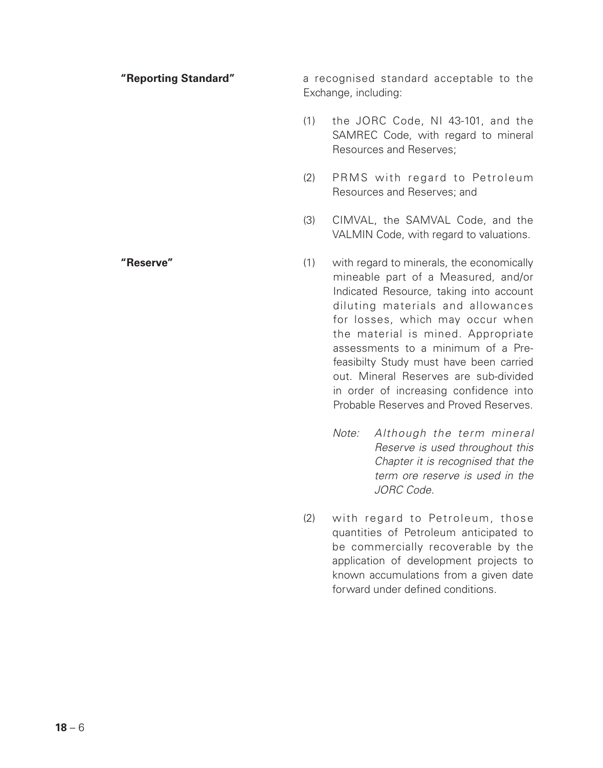| "Reporting Standard" | a recognised standard acceptable to the<br>Exchange, including: |                                                                                                                                                                                                                                                                                                                                                                                                                                                          |  |
|----------------------|-----------------------------------------------------------------|----------------------------------------------------------------------------------------------------------------------------------------------------------------------------------------------------------------------------------------------------------------------------------------------------------------------------------------------------------------------------------------------------------------------------------------------------------|--|
|                      | (1)                                                             | the JORC Code, NI 43-101, and the<br>SAMREC Code, with regard to mineral<br>Resources and Reserves;                                                                                                                                                                                                                                                                                                                                                      |  |
|                      | (2)                                                             | PRMS with regard to Petroleum<br>Resources and Reserves; and                                                                                                                                                                                                                                                                                                                                                                                             |  |
|                      | (3)                                                             | CIMVAL, the SAMVAL Code, and the<br>VALMIN Code, with regard to valuations.                                                                                                                                                                                                                                                                                                                                                                              |  |
| "Reserve"            | (1)                                                             | with regard to minerals, the economically<br>mineable part of a Measured, and/or<br>Indicated Resource, taking into account<br>diluting materials and allowances<br>for losses, which may occur when<br>the material is mined. Appropriate<br>assessments to a minimum of a Pre-<br>feasibilty Study must have been carried<br>out. Mineral Reserves are sub-divided<br>in order of increasing confidence into<br>Probable Reserves and Proved Reserves. |  |

- *Note: Although the term mineral Reserve is used throughout this Chapter it is recognised that the term ore reserve is used in the JORC Code.*
- (2) with regard to Petroleum, those quantities of Petroleum anticipated to be commercially recoverable by the application of development projects to known accumulations from a given date forward under defined conditions.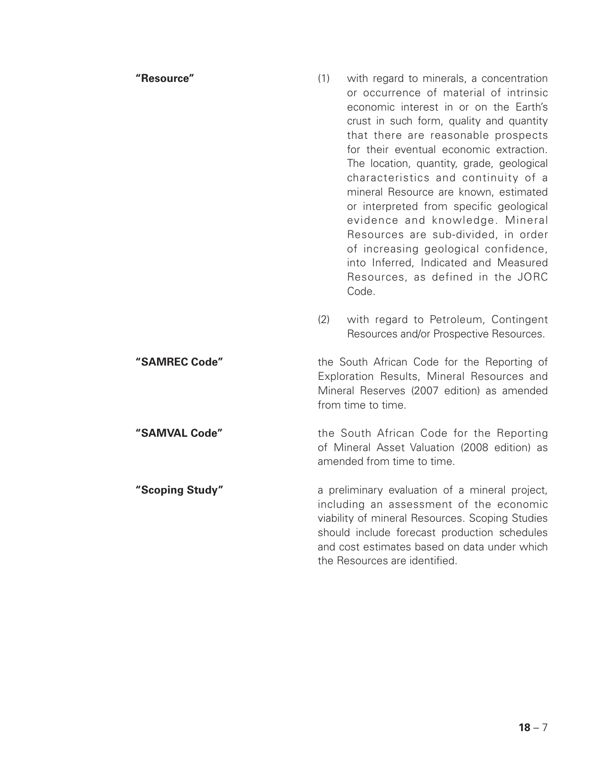# **"Resource"** (1) with regard to minerals, a concentration or occurrence of material of intrinsic economic interest in or on the Earth's crust in such form, quality and quantity that there are reasonable prospects for their eventual economic extraction. The location, quantity, grade, geological characteristics and continuity of a mineral Resource are known, estimated or interpreted from specific geological evidence and knowledge. Mineral Resources are sub-divided, in order of increasing geological confidence, into Inferred, Indicated and Measured Resources, as defined in the JORC Code. (2) with regard to Petroleum, Contingent Resources and/or Prospective Resources. **"SAMREC Code"** the South African Code for the Reporting of Exploration Results, Mineral Resources and Mineral Reserves (2007 edition) as amended from time to time. **"SAMVAL Code"** the South African Code for the Reporting of Mineral Asset Valuation (2008 edition) as amended from time to time. **"Scoping Study"** a preliminary evaluation of a mineral project, including an assessment of the economic viability of mineral Resources. Scoping Studies should include forecast production schedules and cost estimates based on data under which the Resources are identified.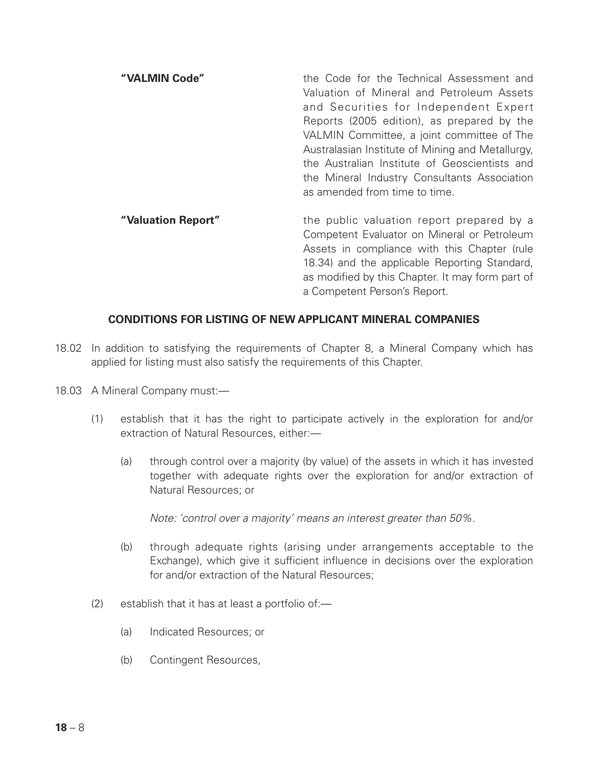| "VALMIN Code"      | the Code for the Technical Assessment and<br>Valuation of Mineral and Petroleum Assets<br>and Securities for Independent Expert<br>Reports (2005 edition), as prepared by the<br>VALMIN Committee, a joint committee of The<br>Australasian Institute of Mining and Metallurgy,<br>the Australian Institute of Geoscientists and<br>the Mineral Industry Consultants Association<br>as amended from time to time. |
|--------------------|-------------------------------------------------------------------------------------------------------------------------------------------------------------------------------------------------------------------------------------------------------------------------------------------------------------------------------------------------------------------------------------------------------------------|
| "Valuation Report" | the public valuation report prepared by a<br>Competent Evaluator on Mineral or Petroleum<br>Assets in compliance with this Chapter (rule<br>18.34) and the applicable Reporting Standard,<br>as modified by this Chapter. It may form part of                                                                                                                                                                     |

a Competent Person's Report.

# **CONDITIONS FOR LISTING OF NEW APPLICANT MINERAL COMPANIES**

- 18.02 In addition to satisfying the requirements of Chapter 8, a Mineral Company which has applied for listing must also satisfy the requirements of this Chapter.
- 18.03 A Mineral Company must:—
	- (1) establish that it has the right to participate actively in the exploration for and/or extraction of Natural Resources, either:—
		- (a) through control over a majority (by value) of the assets in which it has invested together with adequate rights over the exploration for and/or extraction of Natural Resources; or

*Note: 'control over a majority' means an interest greater than 50%.*

- (b) through adequate rights (arising under arrangements acceptable to the Exchange), which give it sufficient influence in decisions over the exploration for and/or extraction of the Natural Resources;
- (2) establish that it has at least a portfolio of:—
	- (a) Indicated Resources; or
	- (b) Contingent Resources,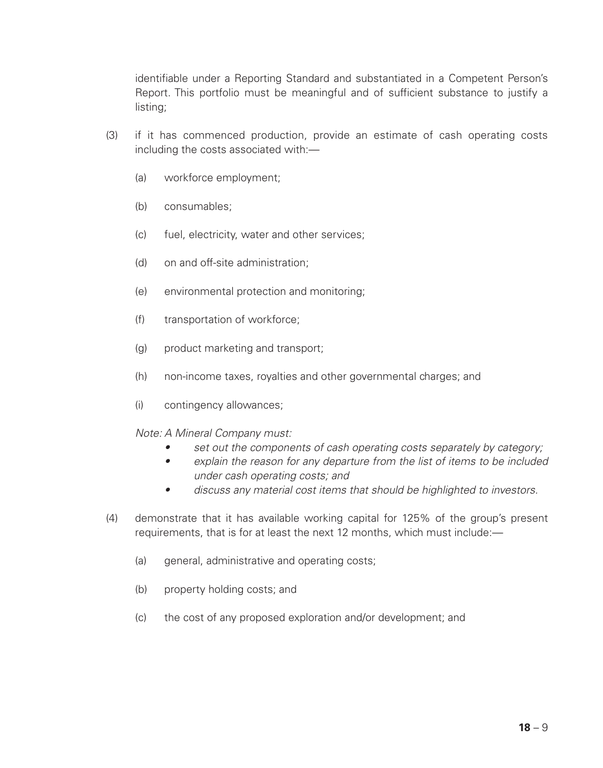identifiable under a Reporting Standard and substantiated in a Competent Person's Report. This portfolio must be meaningful and of sufficient substance to justify a listing;

- (3) if it has commenced production, provide an estimate of cash operating costs including the costs associated with:—
	- (a) workforce employment;
	- (b) consumables;
	- (c) fuel, electricity, water and other services;
	- (d) on and off-site administration;
	- (e) environmental protection and monitoring;
	- (f) transportation of workforce;
	- (g) product marketing and transport;
	- (h) non-income taxes, royalties and other governmental charges; and
	- (i) contingency allowances;

#### *Note: A Mineral Company must:*

- *• set out the components of cash operating costs separately by category;*
- *• explain the reason for any departure from the list of items to be included under cash operating costs; and*
- *• discuss any material cost items that should be highlighted to investors.*
- (4) demonstrate that it has available working capital for 125% of the group's present requirements, that is for at least the next 12 months, which must include:—
	- (a) general, administrative and operating costs;
	- (b) property holding costs; and
	- (c) the cost of any proposed exploration and/or development; and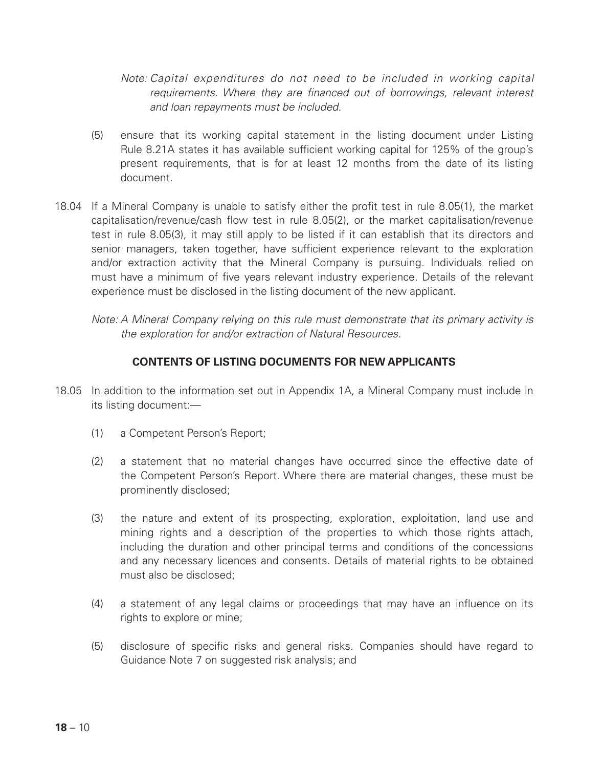*Note: Capital expenditures do not need to be included in working capital requirements. Where they are financed out of borrowings, relevant interest and loan repayments must be included.*

- (5) ensure that its working capital statement in the listing document under Listing Rule 8.21A states it has available sufficient working capital for 125% of the group's present requirements, that is for at least 12 months from the date of its listing document.
- 18.04 If a Mineral Company is unable to satisfy either the profit test in rule 8.05(1), the market capitalisation/revenue/cash flow test in rule 8.05(2), or the market capitalisation/revenue test in rule 8.05(3), it may still apply to be listed if it can establish that its directors and senior managers, taken together, have sufficient experience relevant to the exploration and/or extraction activity that the Mineral Company is pursuing. Individuals relied on must have a minimum of five years relevant industry experience. Details of the relevant experience must be disclosed in the listing document of the new applicant.
	- *Note: A Mineral Company relying on this rule must demonstrate that its primary activity is the exploration for and/or extraction of Natural Resources.*

# **CONTENTS OF LISTING DOCUMENTS FOR NEW APPLICANTS**

- 18.05 In addition to the information set out in Appendix 1A, a Mineral Company must include in its listing document:—
	- (1) a Competent Person's Report;
	- (2) a statement that no material changes have occurred since the effective date of the Competent Person's Report. Where there are material changes, these must be prominently disclosed;
	- (3) the nature and extent of its prospecting, exploration, exploitation, land use and mining rights and a description of the properties to which those rights attach, including the duration and other principal terms and conditions of the concessions and any necessary licences and consents. Details of material rights to be obtained must also be disclosed;
	- (4) a statement of any legal claims or proceedings that may have an influence on its rights to explore or mine;
	- (5) disclosure of specific risks and general risks. Companies should have regard to Guidance Note 7 on suggested risk analysis; and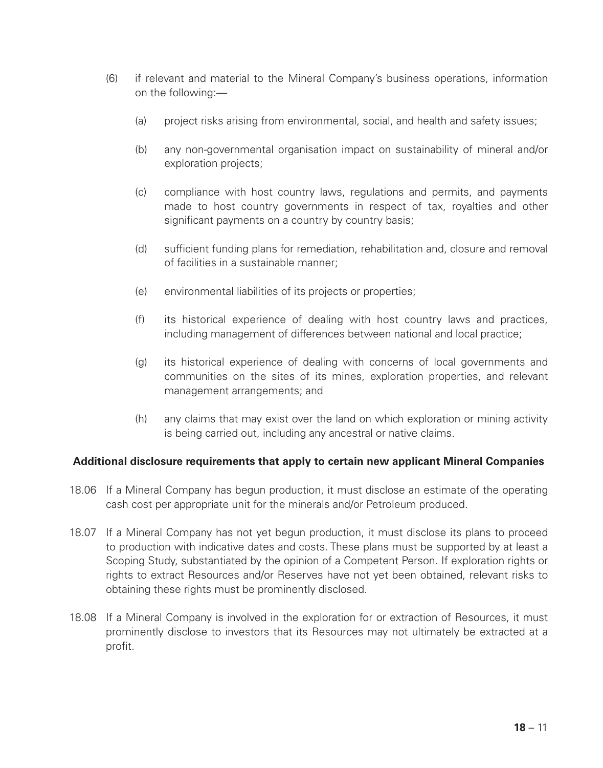- (6) if relevant and material to the Mineral Company's business operations, information on the following:—
	- (a) project risks arising from environmental, social, and health and safety issues;
	- (b) any non-governmental organisation impact on sustainability of mineral and/or exploration projects;
	- (c) compliance with host country laws, regulations and permits, and payments made to host country governments in respect of tax, royalties and other significant payments on a country by country basis;
	- (d) sufficient funding plans for remediation, rehabilitation and, closure and removal of facilities in a sustainable manner;
	- (e) environmental liabilities of its projects or properties;
	- (f) its historical experience of dealing with host country laws and practices, including management of differences between national and local practice;
	- (g) its historical experience of dealing with concerns of local governments and communities on the sites of its mines, exploration properties, and relevant management arrangements; and
	- (h) any claims that may exist over the land on which exploration or mining activity is being carried out, including any ancestral or native claims.

# **Additional disclosure requirements that apply to certain new applicant Mineral Companies**

- 18.06 If a Mineral Company has begun production, it must disclose an estimate of the operating cash cost per appropriate unit for the minerals and/or Petroleum produced.
- 18.07 If a Mineral Company has not yet begun production, it must disclose its plans to proceed to production with indicative dates and costs. These plans must be supported by at least a Scoping Study, substantiated by the opinion of a Competent Person. If exploration rights or rights to extract Resources and/or Reserves have not yet been obtained, relevant risks to obtaining these rights must be prominently disclosed.
- 18.08 If a Mineral Company is involved in the exploration for or extraction of Resources, it must prominently disclose to investors that its Resources may not ultimately be extracted at a profit.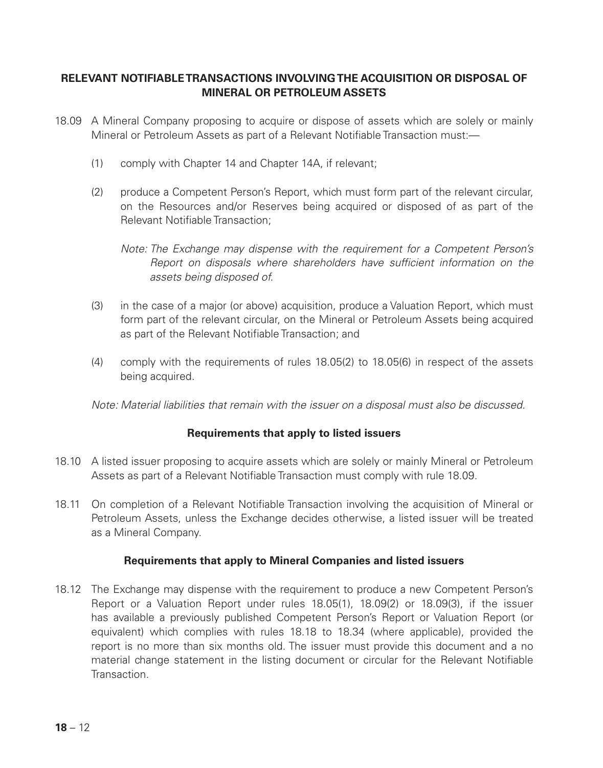# **RELEVANT NOTIFIABLE TRANSACTIONS INVOLVING THE ACQUISITION OR DISPOSAL OF MINERAL OR PETROLEUM ASSETS**

- 18.09 A Mineral Company proposing to acquire or dispose of assets which are solely or mainly Mineral or Petroleum Assets as part of a Relevant Notifiable Transaction must:—
	- (1) comply with Chapter 14 and Chapter 14A, if relevant;
	- (2) produce a Competent Person's Report, which must form part of the relevant circular, on the Resources and/or Reserves being acquired or disposed of as part of the Relevant Notifiable Transaction;

*Note: The Exchange may dispense with the requirement for a Competent Person's Report on disposals where shareholders have sufficient information on the assets being disposed of.*

- (3) in the case of a major (or above) acquisition, produce a Valuation Report, which must form part of the relevant circular, on the Mineral or Petroleum Assets being acquired as part of the Relevant Notifiable Transaction; and
- (4) comply with the requirements of rules 18.05(2) to 18.05(6) in respect of the assets being acquired.

*Note: Material liabilities that remain with the issuer on a disposal must also be discussed.*

# **Requirements that apply to listed issuers**

- 18.10 A listed issuer proposing to acquire assets which are solely or mainly Mineral or Petroleum Assets as part of a Relevant Notifiable Transaction must comply with rule 18.09.
- 18.11 On completion of a Relevant Notifiable Transaction involving the acquisition of Mineral or Petroleum Assets, unless the Exchange decides otherwise, a listed issuer will be treated as a Mineral Company.

#### **Requirements that apply to Mineral Companies and listed issuers**

18.12 The Exchange may dispense with the requirement to produce a new Competent Person's Report or a Valuation Report under rules 18.05(1), 18.09(2) or 18.09(3), if the issuer has available a previously published Competent Person's Report or Valuation Report (or equivalent) which complies with rules 18.18 to 18.34 (where applicable), provided the report is no more than six months old. The issuer must provide this document and a no material change statement in the listing document or circular for the Relevant Notifiable Transaction.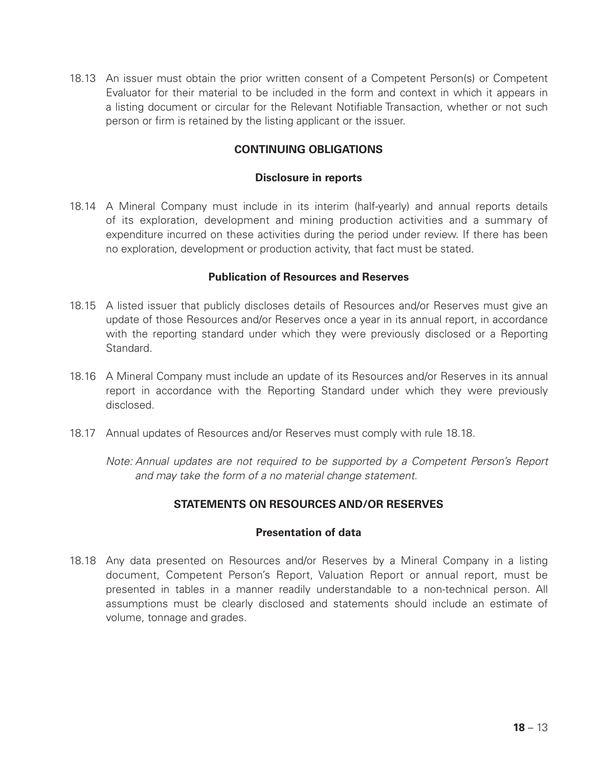18.13 An issuer must obtain the prior written consent of a Competent Person(s) or Competent Evaluator for their material to be included in the form and context in which it appears in a listing document or circular for the Relevant Notifiable Transaction, whether or not such person or firm is retained by the listing applicant or the issuer.

# **CONTINUING OBLIGATIONS**

#### **Disclosure in reports**

18.14 A Mineral Company must include in its interim (half-yearly) and annual reports details of its exploration, development and mining production activities and a summary of expenditure incurred on these activities during the period under review. If there has been no exploration, development or production activity, that fact must be stated.

#### **Publication of Resources and Reserves**

- 18.15 A listed issuer that publicly discloses details of Resources and/or Reserves must give an update of those Resources and/or Reserves once a year in its annual report, in accordance with the reporting standard under which they were previously disclosed or a Reporting Standard.
- 18.16 A Mineral Company must include an update of its Resources and/or Reserves in its annual report in accordance with the Reporting Standard under which they were previously disclosed.
- 18.17 Annual updates of Resources and/or Reserves must comply with rule 18.18.

*Note: Annual updates are not required to be supported by a Competent Person's Report and may take the form of a no material change statement.*

# **STATEMENTS ON RESOURCES AND/OR RESERVES**

# **Presentation of data**

18.18 Any data presented on Resources and/or Reserves by a Mineral Company in a listing document, Competent Person's Report, Valuation Report or annual report, must be presented in tables in a manner readily understandable to a non-technical person. All assumptions must be clearly disclosed and statements should include an estimate of volume, tonnage and grades.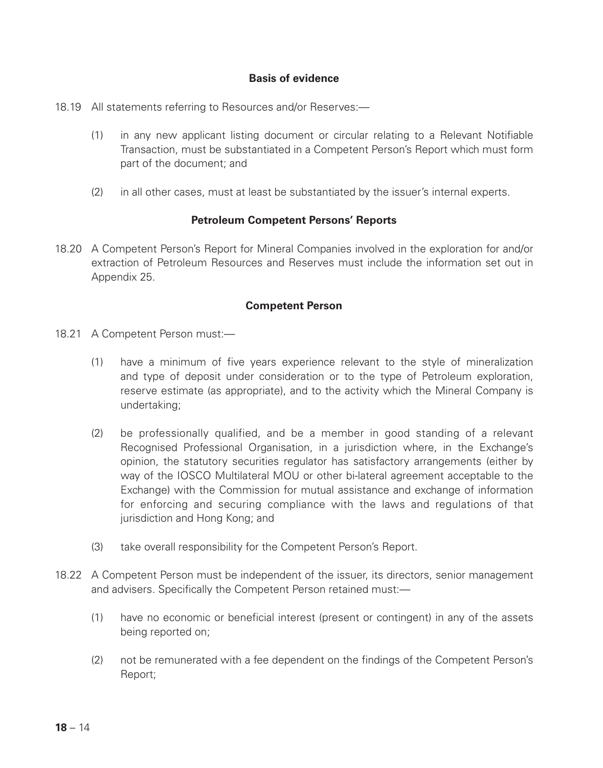# **Basis of evidence**

- 18.19 All statements referring to Resources and/or Reserves:—
	- (1) in any new applicant listing document or circular relating to a Relevant Notifiable Transaction, must be substantiated in a Competent Person's Report which must form part of the document; and
	- (2) in all other cases, must at least be substantiated by the issuer's internal experts.

#### **Petroleum Competent Persons' Reports**

18.20 A Competent Person's Report for Mineral Companies involved in the exploration for and/or extraction of Petroleum Resources and Reserves must include the information set out in Appendix 25.

### **Competent Person**

- 18.21 A Competent Person must:—
	- (1) have a minimum of five years experience relevant to the style of mineralization and type of deposit under consideration or to the type of Petroleum exploration, reserve estimate (as appropriate), and to the activity which the Mineral Company is undertaking;
	- (2) be professionally qualified, and be a member in good standing of a relevant Recognised Professional Organisation, in a jurisdiction where, in the Exchange's opinion, the statutory securities regulator has satisfactory arrangements (either by way of the IOSCO Multilateral MOU or other bi-lateral agreement acceptable to the Exchange) with the Commission for mutual assistance and exchange of information for enforcing and securing compliance with the laws and regulations of that jurisdiction and Hong Kong; and
	- (3) take overall responsibility for the Competent Person's Report.
- 18.22 A Competent Person must be independent of the issuer, its directors, senior management and advisers. Specifically the Competent Person retained must:—
	- (1) have no economic or beneficial interest (present or contingent) in any of the assets being reported on;
	- (2) not be remunerated with a fee dependent on the findings of the Competent Person's Report;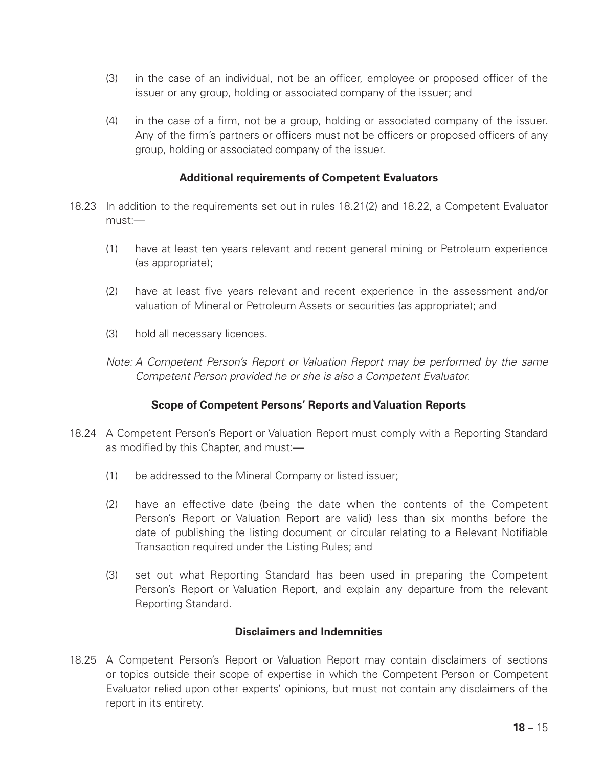- (3) in the case of an individual, not be an officer, employee or proposed officer of the issuer or any group, holding or associated company of the issuer; and
- (4) in the case of a firm, not be a group, holding or associated company of the issuer. Any of the firm's partners or officers must not be officers or proposed officers of any group, holding or associated company of the issuer.

# **Additional requirements of Competent Evaluators**

- 18.23 In addition to the requirements set out in rules 18.21(2) and 18.22, a Competent Evaluator must:—
	- (1) have at least ten years relevant and recent general mining or Petroleum experience (as appropriate);
	- (2) have at least five years relevant and recent experience in the assessment and/or valuation of Mineral or Petroleum Assets or securities (as appropriate); and
	- (3) hold all necessary licences.
	- *Note: A Competent Person's Report or Valuation Report may be performed by the same Competent Person provided he or she is also a Competent Evaluator.*

# **Scope of Competent Persons' Reports and Valuation Reports**

- 18.24 A Competent Person's Report or Valuation Report must comply with a Reporting Standard as modified by this Chapter, and must:—
	- (1) be addressed to the Mineral Company or listed issuer;
	- (2) have an effective date (being the date when the contents of the Competent Person's Report or Valuation Report are valid) less than six months before the date of publishing the listing document or circular relating to a Relevant Notifiable Transaction required under the Listing Rules; and
	- (3) set out what Reporting Standard has been used in preparing the Competent Person's Report or Valuation Report, and explain any departure from the relevant Reporting Standard.

## **Disclaimers and Indemnities**

18.25 A Competent Person's Report or Valuation Report may contain disclaimers of sections or topics outside their scope of expertise in which the Competent Person or Competent Evaluator relied upon other experts' opinions, but must not contain any disclaimers of the report in its entirety.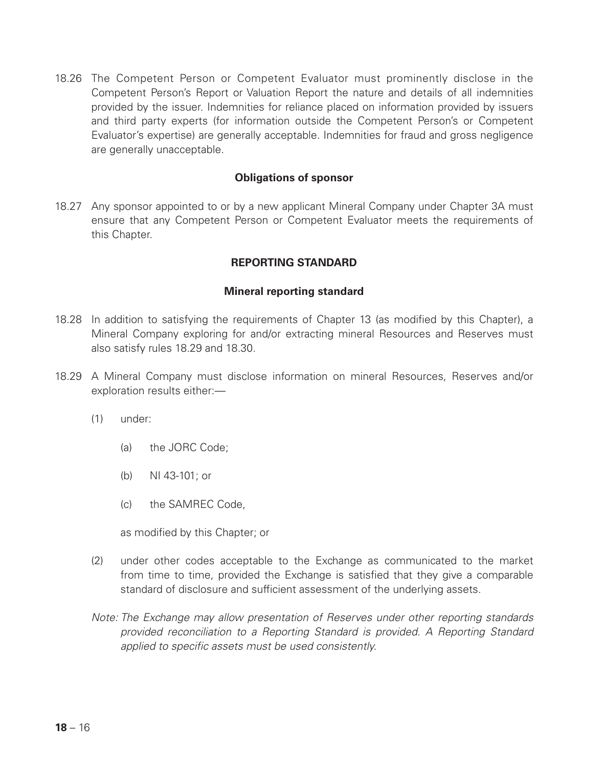18.26 The Competent Person or Competent Evaluator must prominently disclose in the Competent Person's Report or Valuation Report the nature and details of all indemnities provided by the issuer. Indemnities for reliance placed on information provided by issuers and third party experts (for information outside the Competent Person's or Competent Evaluator's expertise) are generally acceptable. Indemnities for fraud and gross negligence are generally unacceptable.

#### **Obligations of sponsor**

18.27 Any sponsor appointed to or by a new applicant Mineral Company under Chapter 3A must ensure that any Competent Person or Competent Evaluator meets the requirements of this Chapter.

# **REPORTING STANDARD**

#### **Mineral reporting standard**

- 18.28 In addition to satisfying the requirements of Chapter 13 (as modified by this Chapter), a Mineral Company exploring for and/or extracting mineral Resources and Reserves must also satisfy rules 18.29 and 18.30.
- 18.29 A Mineral Company must disclose information on mineral Resources, Reserves and/or exploration results either:—
	- (1) under:
		- (a) the JORC Code;
		- (b) NI 43-101; or
		- (c) the SAMREC Code,

as modified by this Chapter; or

- (2) under other codes acceptable to the Exchange as communicated to the market from time to time, provided the Exchange is satisfied that they give a comparable standard of disclosure and sufficient assessment of the underlying assets.
- *Note: The Exchange may allow presentation of Reserves under other reporting standards provided reconciliation to a Reporting Standard is provided. A Reporting Standard applied to specific assets must be used consistently.*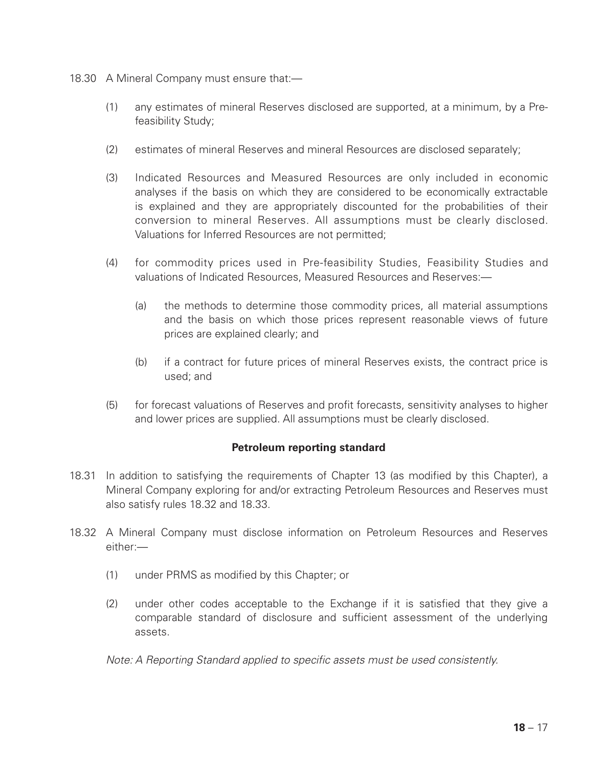- 18.30 A Mineral Company must ensure that:—
	- (1) any estimates of mineral Reserves disclosed are supported, at a minimum, by a Prefeasibility Study;
	- (2) estimates of mineral Reserves and mineral Resources are disclosed separately;
	- (3) Indicated Resources and Measured Resources are only included in economic analyses if the basis on which they are considered to be economically extractable is explained and they are appropriately discounted for the probabilities of their conversion to mineral Reserves. All assumptions must be clearly disclosed. Valuations for Inferred Resources are not permitted;
	- (4) for commodity prices used in Pre-feasibility Studies, Feasibility Studies and valuations of Indicated Resources, Measured Resources and Reserves:—
		- (a) the methods to determine those commodity prices, all material assumptions and the basis on which those prices represent reasonable views of future prices are explained clearly; and
		- (b) if a contract for future prices of mineral Reserves exists, the contract price is used; and
	- (5) for forecast valuations of Reserves and profit forecasts, sensitivity analyses to higher and lower prices are supplied. All assumptions must be clearly disclosed.

# **Petroleum reporting standard**

- 18.31 In addition to satisfying the requirements of Chapter 13 (as modified by this Chapter), a Mineral Company exploring for and/or extracting Petroleum Resources and Reserves must also satisfy rules 18.32 and 18.33.
- 18.32 A Mineral Company must disclose information on Petroleum Resources and Reserves either:—
	- (1) under PRMS as modified by this Chapter; or
	- (2) under other codes acceptable to the Exchange if it is satisfied that they give a comparable standard of disclosure and sufficient assessment of the underlying assets.

*Note: A Reporting Standard applied to specific assets must be used consistently.*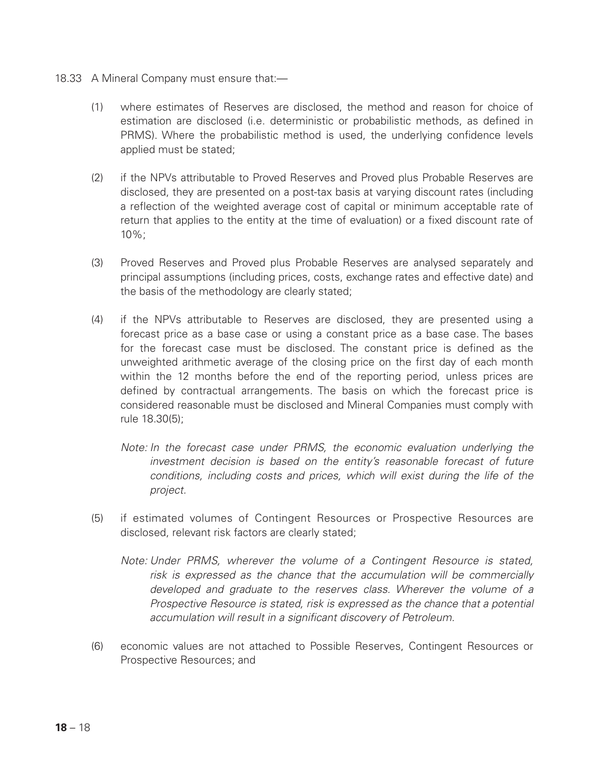- 18.33 A Mineral Company must ensure that:—
	- (1) where estimates of Reserves are disclosed, the method and reason for choice of estimation are disclosed (i.e. deterministic or probabilistic methods, as defined in PRMS). Where the probabilistic method is used, the underlying confidence levels applied must be stated:
	- (2) if the NPVs attributable to Proved Reserves and Proved plus Probable Reserves are disclosed, they are presented on a post-tax basis at varying discount rates (including a reflection of the weighted average cost of capital or minimum acceptable rate of return that applies to the entity at the time of evaluation) or a fixed discount rate of  $10\%$
	- (3) Proved Reserves and Proved plus Probable Reserves are analysed separately and principal assumptions (including prices, costs, exchange rates and effective date) and the basis of the methodology are clearly stated;
	- (4) if the NPVs attributable to Reserves are disclosed, they are presented using a forecast price as a base case or using a constant price as a base case. The bases for the forecast case must be disclosed. The constant price is defined as the unweighted arithmetic average of the closing price on the first day of each month within the 12 months before the end of the reporting period, unless prices are defined by contractual arrangements. The basis on which the forecast price is considered reasonable must be disclosed and Mineral Companies must comply with rule 18.30(5);
		- *Note: In the forecast case under PRMS, the economic evaluation underlying the investment decision is based on the entity's reasonable forecast of future conditions, including costs and prices, which will exist during the life of the project.*
	- (5) if estimated volumes of Contingent Resources or Prospective Resources are disclosed, relevant risk factors are clearly stated;
		- *Note: Under PRMS, wherever the volume of a Contingent Resource is stated, risk is expressed as the chance that the accumulation will be commercially developed and graduate to the reserves class. Wherever the volume of a Prospective Resource is stated, risk is expressed as the chance that a potential accumulation will result in a significant discovery of Petroleum.*
	- (6) economic values are not attached to Possible Reserves, Contingent Resources or Prospective Resources; and